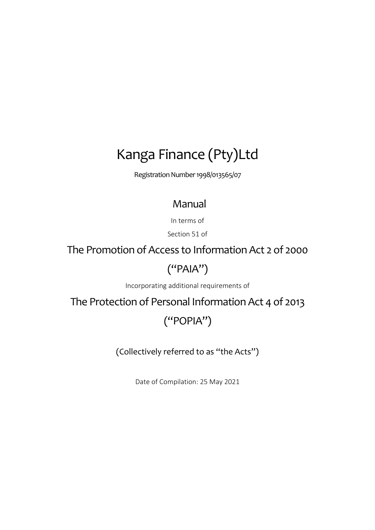# Kanga Finance (Pty)Ltd

Registration Number 1998/013565/07

# Manual

In terms of

Section 51 of

The Promotion of Access to Information Act 2 of 2000

# ("PAIA")

Incorporating additional requirements of

The Protection of Personal Information Act 4 of 2013

# ("POPIA")

(Collectively referred to as "the Acts")

Date of Compilation: 25 May 2021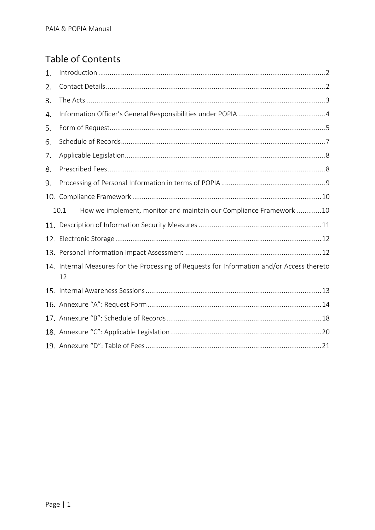# Table of Contents

| 1. |                                                                                                  |
|----|--------------------------------------------------------------------------------------------------|
| 2. |                                                                                                  |
| 3. |                                                                                                  |
| 4. |                                                                                                  |
| 5. |                                                                                                  |
| 6. |                                                                                                  |
| 7. |                                                                                                  |
| 8. |                                                                                                  |
| 9. |                                                                                                  |
|    |                                                                                                  |
|    | How we implement, monitor and maintain our Compliance Framework 10<br>10.1                       |
|    |                                                                                                  |
|    |                                                                                                  |
|    |                                                                                                  |
|    | 14. Internal Measures for the Processing of Requests for Information and/or Access thereto<br>12 |
|    |                                                                                                  |
|    |                                                                                                  |
|    |                                                                                                  |
|    |                                                                                                  |
|    |                                                                                                  |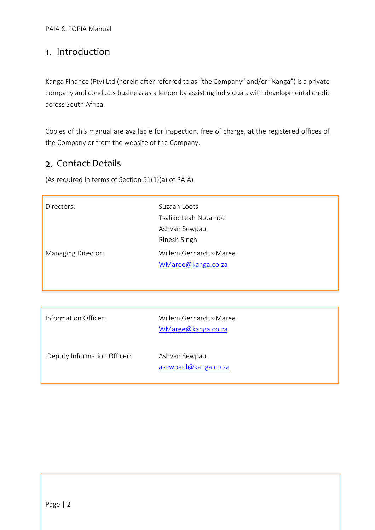## <span id="page-2-0"></span>1. Introduction

Kanga Finance (Pty) Ltd (herein after referred to as "the Company" and/or "Kanga") is a private company and conducts business as a lender by assisting individuals with developmental credit across South Africa.

Copies of this manual are available for inspection, free of charge, at the registered offices of the Company or from the website of the Company.

## <span id="page-2-1"></span>2. Contact Details

(As required in terms of Section 51(1)(a) of PAIA)

| Directors:                  | Suzaan Loots<br>Tsaliko Leah Ntoampe<br>Ashvan Sewpaul<br>Rinesh Singh |
|-----------------------------|------------------------------------------------------------------------|
| Managing Director:          | Willem Gerhardus Maree<br>WMaree@kanga.co.za                           |
|                             |                                                                        |
| Information Officer:        | Willem Gerhardus Maree<br>WMaree@kanga.co.za                           |
| Deputy Information Officer: | Ashvan Sewpaul<br>asewpaul@kanga.co.za                                 |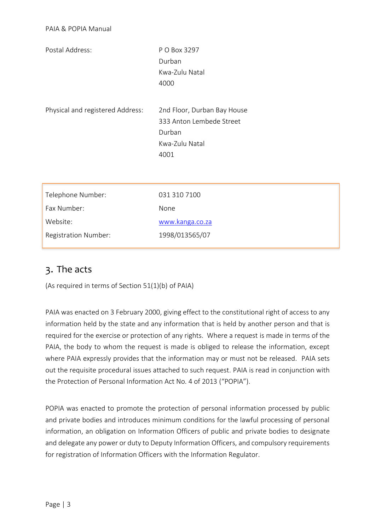| Postal Address:                  | P O Box 3297                |
|----------------------------------|-----------------------------|
|                                  | Durban                      |
|                                  | Kwa-Zulu Natal              |
|                                  | 4000                        |
|                                  |                             |
| Physical and registered Address: | 2nd Floor, Durban Bay House |
|                                  | 333 Anton Lembede Street    |
|                                  | Durban                      |
|                                  | Kwa-Zulu Natal              |
|                                  | 4001                        |
|                                  |                             |
|                                  |                             |
| Telephone Number:                | 031 310 7100                |
| Fax Number:                      | None                        |

| FAX INUITIDEL.              | <b>IVOHE</b>    |
|-----------------------------|-----------------|
| Website:                    | www.kanga.co.za |
| <b>Registration Number:</b> | 1998/013565/07  |

## <span id="page-3-0"></span>3. The acts

(As required in terms of Section 51(1)(b) of PAIA)

PAIA was enacted on 3 February 2000, giving effect to the constitutional right of access to any information held by the state and any information that is held by another person and that is required for the exercise or protection of any rights. Where a request is made in terms of the PAIA, the body to whom the request is made is obliged to release the information, except where PAIA expressly provides that the information may or must not be released. PAIA sets out the requisite procedural issues attached to such request. PAIA is read in conjunction with the Protection of Personal Information Act No. 4 of 2013 ("POPIA").

POPIA was enacted to promote the protection of personal information processed by public and private bodies and introduces minimum conditions for the lawful processing of personal information, an obligation on Information Officers of public and private bodies to designate and delegate any power or duty to Deputy Information Officers, and compulsory requirements for registration of Information Officers with the Information Regulator.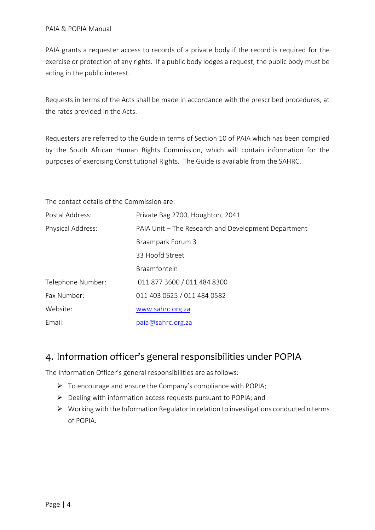PAIA grants a requester access to records of a private body if the record is required for the exercise or protection of any rights. If a public body lodges a request, the public body must be acting in the public interest.

Requests in terms of the Acts shall be made in accordance with the prescribed procedures, at the rates provided in the Acts.

Requesters are referred to the Guide in terms of Section 10 of PAIA which has been compiled by the South African Human Rights Commission, which will contain information for the purposes of exercising Constitutional Rights. The Guide is available from the SAHRC.

The contact details of the Commission are:

| Postal Address:   | Private Bag 2700, Houghton, 2041                    |
|-------------------|-----------------------------------------------------|
| Physical Address: | PAIA Unit – The Research and Development Department |
|                   | Braampark Forum 3                                   |
|                   | 33 Hoofd Street                                     |
|                   | Braamfontein                                        |
| Telephone Number: | 011 877 3600 / 011 484 8300                         |
| Fax Number:       | 011 403 0625 / 011 484 0582                         |
| Website:          | www.sahrc.org.za                                    |
| Email:            | paia@sahrc.org.za                                   |

## <span id="page-4-0"></span>4. Information officer's general responsibilities under POPIA

The Information Officer's general responsibilities are as follows:

- ➢ To encourage and ensure the Company's compliance with POPIA;
- ➢ Dealing with information access requests pursuant to POPIA; and
- ➢ Working with the Information Regulator in relation to investigations conducted n terms of POPIA.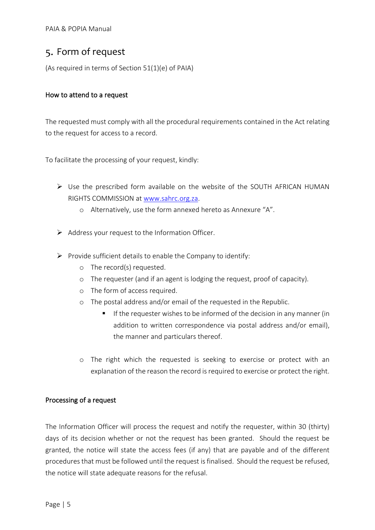## <span id="page-5-0"></span>Form of request

(As required in terms of Section 51(1)(e) of PAIA)

## How to attend to a request

The requested must comply with all the procedural requirements contained in the Act relating to the request for access to a record.

To facilitate the processing of your request, kindly:

- ➢ Use the prescribed form available on the website of the SOUTH AFRICAN HUMAN RIGHTS COMMISSION at [www.sahrc.org.za.](http://www.sahrc.org.za/)
	- o Alternatively, use the form annexed hereto as Annexure "A".
- $\triangleright$  Address your request to the Information Officer.
- $\triangleright$  Provide sufficient details to enable the Company to identify:
	- o The record(s) requested.
	- o The requester (and if an agent is lodging the request, proof of capacity).
	- o The form of access required.
	- o The postal address and/or email of the requested in the Republic.
		- If the requester wishes to be informed of the decision in any manner (in addition to written correspondence via postal address and/or email), the manner and particulars thereof.
	- o The right which the requested is seeking to exercise or protect with an explanation of the reason the record is required to exercise or protect the right.

#### Processing of a request

The Information Officer will process the request and notify the requester, within 30 (thirty) days of its decision whether or not the request has been granted. Should the request be granted, the notice will state the access fees (if any) that are payable and of the different procedures that must be followed until the request is finalised. Should the request be refused, the notice will state adequate reasons for the refusal.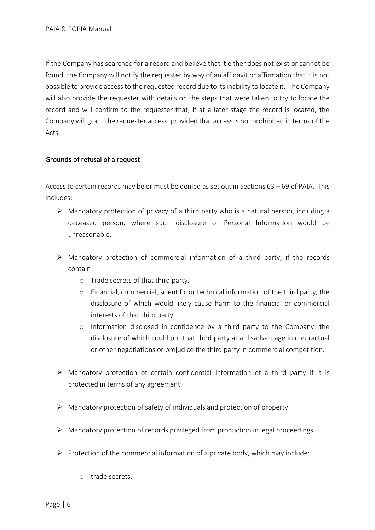If the Company has searched for a record and believe that it either does not exist or cannot be found, the Company will notify the requester by way of an affidavit or affirmation that it is not possible to provide access to the requested record due to its inability to locate it. The Company will also provide the requester with details on the steps that were taken to try to locate the record and will confirm to the requester that, if at a later stage the record is located, the Company will grant the requester access, provided that access is not prohibited in terms of the Acts.

## Grounds of refusal of a request

Access to certain records may be or must be denied as set out in Sections 63 – 69 of PAIA. This includes:

- $\triangleright$  Mandatory protection of privacy of a third party who is a natural person, including a deceased person, where such disclosure of Personal Information would be unreasonable.
- ➢ Mandatory protection of commercial information of a third party, if the records contain:
	- o Trade secrets of that third party.
	- o Financial, commercial, scientific or technical information of the third party, the disclosure of which would likely cause harm to the financial or commercial interests of that third party.
	- o Information disclosed in confidence by a third party to the Company, the disclosure of which could put that third party at a disadvantage in contractual or other negotiations or prejudice the third party in commercial competition.
- $\triangleright$  Mandatory protection of certain confidential information of a third party if it is protected in terms of any agreement.
- ➢ Mandatory protection of safety of individuals and protection of property.
- $\triangleright$  Mandatory protection of records privileged from production in legal proceedings.
- $\triangleright$  Protection of the commercial information of a private body, which may include:
	- o trade secrets.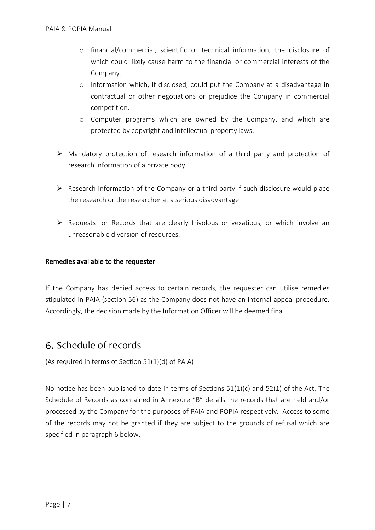- o financial/commercial, scientific or technical information, the disclosure of which could likely cause harm to the financial or commercial interests of the Company.
- o Information which, if disclosed, could put the Company at a disadvantage in contractual or other negotiations or prejudice the Company in commercial competition.
- o Computer programs which are owned by the Company, and which are protected by copyright and intellectual property laws.
- ➢ Mandatory protection of research information of a third party and protection of research information of a private body.
- $\triangleright$  Research information of the Company or a third party if such disclosure would place the research or the researcher at a serious disadvantage.
- ➢ Requests for Records that are clearly frivolous or vexatious, or which involve an unreasonable diversion of resources.

## Remedies available to the requester

If the Company has denied access to certain records, the requester can utilise remedies stipulated in PAIA (section 56) as the Company does not have an internal appeal procedure. Accordingly, the decision made by the Information Officer will be deemed final.

## <span id="page-7-0"></span>6. Schedule of records

(As required in terms of Section 51(1)(d) of PAIA)

No notice has been published to date in terms of Sections 51(1)(c) and 52(1) of the Act. The Schedule of Records as contained in Annexure "B" details the records that are held and/or processed by the Company for the purposes of PAIA and POPIA respectively. Access to some of the records may not be granted if they are subject to the grounds of refusal which are specified in paragraph 6 below.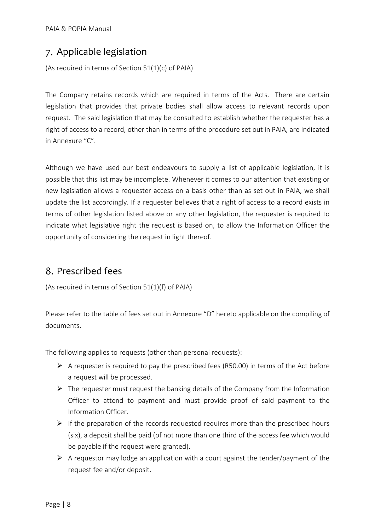## <span id="page-8-0"></span>Applicable legislation

(As required in terms of Section 51(1)(c) of PAIA)

The Company retains records which are required in terms of the Acts. There are certain legislation that provides that private bodies shall allow access to relevant records upon request. The said legislation that may be consulted to establish whether the requester has a right of access to a record, other than in terms of the procedure set out in PAIA, are indicated in Annexure "C".

Although we have used our best endeavours to supply a list of applicable legislation, it is possible that this list may be incomplete. Whenever it comes to our attention that existing or new legislation allows a requester access on a basis other than as set out in PAIA, we shall update the list accordingly. If a requester believes that a right of access to a record exists in terms of other legislation listed above or any other legislation, the requester is required to indicate what legislative right the request is based on, to allow the Information Officer the opportunity of considering the request in light thereof.

# <span id="page-8-1"></span>8. Prescribed fees

(As required in terms of Section 51(1)(f) of PAIA)

Please refer to the table of fees set out in Annexure "D" hereto applicable on the compiling of documents.

The following applies to requests (other than personal requests):

- $\triangleright$  A requester is required to pay the prescribed fees (R50.00) in terms of the Act before a request will be processed.
- $\triangleright$  The requester must request the banking details of the Company from the Information Officer to attend to payment and must provide proof of said payment to the Information Officer.
- $\triangleright$  If the preparation of the records requested requires more than the prescribed hours (six), a deposit shall be paid (of not more than one third of the access fee which would be payable if the request were granted).
- $\triangleright$  A requestor may lodge an application with a court against the tender/payment of the request fee and/or deposit.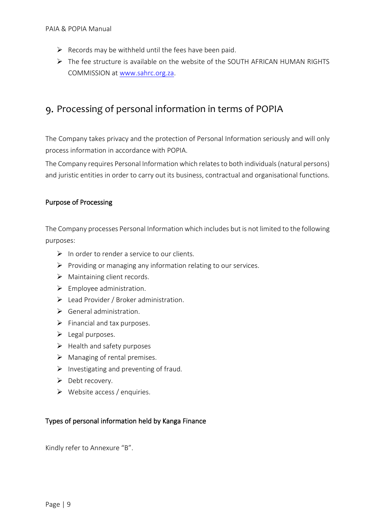- $\triangleright$  Records may be withheld until the fees have been paid.
- ➢ The fee structure is available on the website of the SOUTH AFRICAN HUMAN RIGHTS COMMISSION at [www.sahrc.org.za.](http://www.sahrc.org.za/)

## <span id="page-9-0"></span>9. Processing of personal information in terms of POPIA

The Company takes privacy and the protection of Personal Information seriously and will only process information in accordance with POPIA.

The Company requires Personal Information which relates to both individuals (natural persons) and juristic entities in order to carry out its business, contractual and organisational functions.

## Purpose of Processing

The Company processes Personal Information which includes but is not limited to the following purposes:

- $\triangleright$  In order to render a service to our clients.
- $\triangleright$  Providing or managing any information relating to our services.
- $\triangleright$  Maintaining client records.
- $\triangleright$  Employee administration.
- ➢ Lead Provider / Broker administration.
- $\triangleright$  General administration.
- $\triangleright$  Financial and tax purposes.
- ➢ Legal purposes.
- $\blacktriangleright$  Health and safety purposes
- ➢ Managing of rental premises.
- $\triangleright$  Investigating and preventing of fraud.
- ➢ Debt recovery.
- ➢ Website access / enquiries.

#### Types of personal information held by Kanga Finance

Kindly refer to Annexure "B".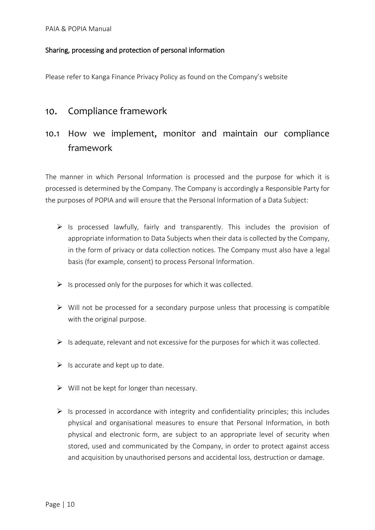## Sharing, processing and protection of personal information

Please refer to Kanga Finance Privacy Policy as found on the Company's website

## <span id="page-10-0"></span>10. Compliance framework

# <span id="page-10-1"></span>10.1 How we implement, monitor and maintain our compliance framework

The manner in which Personal Information is processed and the purpose for which it is processed is determined by the Company. The Company is accordingly a Responsible Party for the purposes of POPIA and will ensure that the Personal Information of a Data Subject:

- $\triangleright$  Is processed lawfully, fairly and transparently. This includes the provision of appropriate information to Data Subjects when their data is collected by the Company, in the form of privacy or data collection notices. The Company must also have a legal basis (for example, consent) to process Personal Information.
- $\triangleright$  Is processed only for the purposes for which it was collected.
- $\triangleright$  Will not be processed for a secondary purpose unless that processing is compatible with the original purpose.
- $\triangleright$  Is adequate, relevant and not excessive for the purposes for which it was collected.
- $\triangleright$  Is accurate and kept up to date.
- $\triangleright$  Will not be kept for longer than necessary.
- $\triangleright$  Is processed in accordance with integrity and confidentiality principles; this includes physical and organisational measures to ensure that Personal Information, in both physical and electronic form, are subject to an appropriate level of security when stored, used and communicated by the Company, in order to protect against access and acquisition by unauthorised persons and accidental loss, destruction or damage.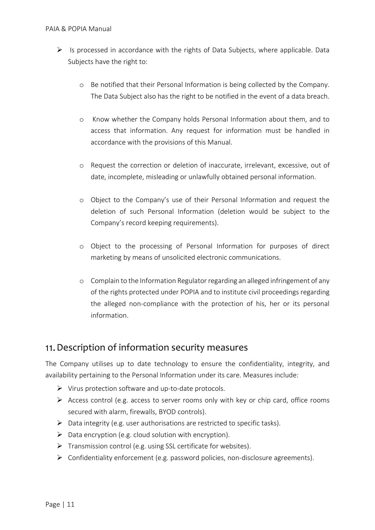- $\triangleright$  Is processed in accordance with the rights of Data Subjects, where applicable. Data Subjects have the right to:
	- o Be notified that their Personal Information is being collected by the Company. The Data Subject also has the right to be notified in the event of a data breach.
	- o Know whether the Company holds Personal Information about them, and to access that information. Any request for information must be handled in accordance with the provisions of this Manual.
	- o Request the correction or deletion of inaccurate, irrelevant, excessive, out of date, incomplete, misleading or unlawfully obtained personal information.
	- o Object to the Company's use of their Personal Information and request the deletion of such Personal Information (deletion would be subject to the Company's record keeping requirements).
	- o Object to the processing of Personal Information for purposes of direct marketing by means of unsolicited electronic communications.
	- o Complain to the Information Regulator regarding an alleged infringement of any of the rights protected under POPIA and to institute civil proceedings regarding the alleged non-compliance with the protection of his, her or its personal information.

## <span id="page-11-0"></span>11. Description of information security measures

The Company utilises up to date technology to ensure the confidentiality, integrity, and availability pertaining to the Personal Information under its care. Measures include:

- ➢ Virus protection software and up-to-date protocols.
- $\triangleright$  Access control (e.g. access to server rooms only with key or chip card, office rooms secured with alarm, firewalls, BYOD controls).
- ➢ Data integrity (e.g. user authorisations are restricted to specific tasks).
- $\triangleright$  Data encryption (e.g. cloud solution with encryption).
- $\triangleright$  Transmission control (e.g. using SSL certificate for websites).
- ➢ Confidentiality enforcement (e.g. password policies, non-disclosure agreements).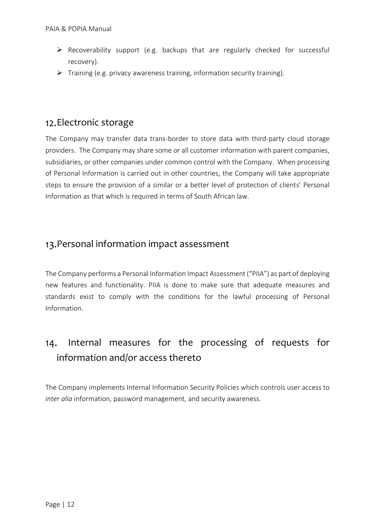- ➢ Recoverability support (e.g. backups that are regularly checked for successful recovery).
- ➢ Training (e.g. privacy awareness training, information security training).

## <span id="page-12-0"></span>12. Electronic storage

The Company may transfer data trans-border to store data with third-party cloud storage providers. The Company may share some or all customer information with parent companies, subsidiaries, or other companies under common control with the Company. When processing of Personal Information is carried out in other countries, the Company will take appropriate steps to ensure the provision of a similar or a better level of protection of clients' Personal Information as that which is required in terms of South African law.

## <span id="page-12-1"></span>13. Personal information impact assessment

The Company performs a Personal Information Impact Assessment ("PIIA") as part of deploying new features and functionality. PIIA is done to make sure that adequate measures and standards exist to comply with the conditions for the lawful processing of Personal Information.

## <span id="page-12-2"></span>Internal measures for the processing of requests for  $14.$ information and/or access thereto

The Company implements Internal Information Security Policies which controls user access to *inter alia* information, password management, and security awareness.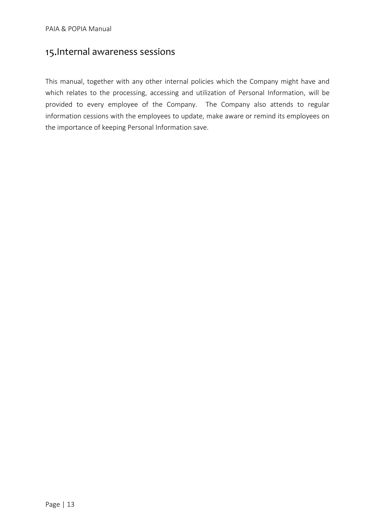# <span id="page-13-0"></span>15. Internal awareness sessions

This manual, together with any other internal policies which the Company might have and which relates to the processing, accessing and utilization of Personal Information, will be provided to every employee of the Company. The Company also attends to regular information cessions with the employees to update, make aware or remind its employees on the importance of keeping Personal Information save.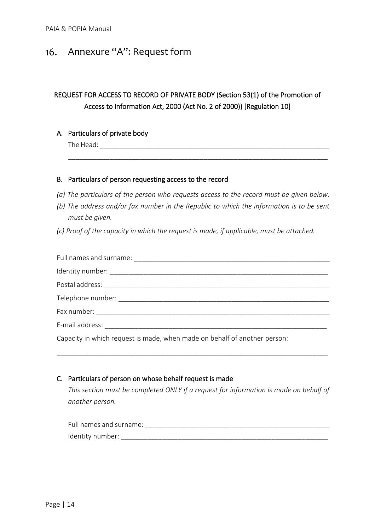## <span id="page-14-0"></span>16. Annexure "A": Request form

## REQUEST FOR ACCESS TO RECORD OF PRIVATE BODY (Section 53(1) of the Promotion of Access to Information Act, 2000 (Act No. 2 of 2000)) [Regulation 10]

#### A. Particulars of private body

The Head: \_\_\_\_\_\_\_\_\_\_\_\_\_\_\_\_\_\_\_\_\_\_\_\_\_\_\_\_\_\_\_\_\_\_\_\_\_\_\_\_\_\_\_\_\_\_\_\_\_\_\_\_\_\_\_\_\_\_\_\_\_

#### B. Particulars of person requesting access to the record

*(a) The particulars of the person who requests access to the record must be given below.* 

\_\_\_\_\_\_\_\_\_\_\_\_\_\_\_\_\_\_\_\_\_\_\_\_\_\_\_\_\_\_\_\_\_\_\_\_\_\_\_\_\_\_\_\_\_\_\_\_\_\_\_\_\_\_\_\_\_\_\_\_\_\_\_\_\_\_\_\_\_

- *(b) The address and/or fax number in the Republic to which the information is to be sent must be given.*
- *(c) Proof of the capacity in which the request is made, if applicable, must be attached.*

| Telephone number: Telephone number:                                       |
|---------------------------------------------------------------------------|
| Fax number:                                                               |
| E-mail address: E-mail address:                                           |
| Capacity in which request is made, when made on behalf of another person: |

\_\_\_\_\_\_\_\_\_\_\_\_\_\_\_\_\_\_\_\_\_\_\_\_\_\_\_\_\_\_\_\_\_\_\_\_\_\_\_\_\_\_\_\_\_\_\_\_\_\_\_\_\_\_\_\_\_\_\_\_\_\_\_\_\_\_\_\_\_\_\_\_

#### C. Particulars of person on whose behalf request is made

*This section must be completed ONLY if a request for information is made on behalf of another person.* 

| Full names and surname: |  |
|-------------------------|--|
| Identity number:        |  |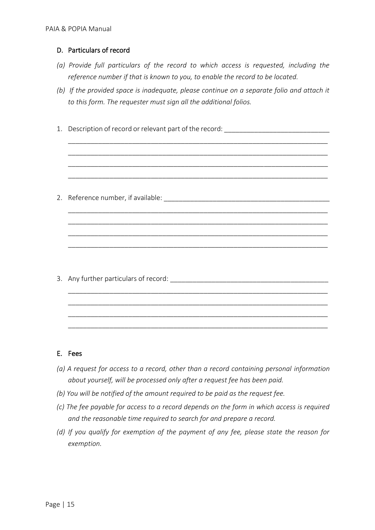## D. Particulars of record

- *(a) Provide full particulars of the record to which access is requested, including the reference number if that is known to you, to enable the record to be located.*
- *(b) If the provided space is inadequate, please continue on a separate folio and attach it to this form. The requester must sign all the additional folios.*

\_\_\_\_\_\_\_\_\_\_\_\_\_\_\_\_\_\_\_\_\_\_\_\_\_\_\_\_\_\_\_\_\_\_\_\_\_\_\_\_\_\_\_\_\_\_\_\_\_\_\_\_\_\_\_\_\_\_\_\_\_\_\_\_\_\_\_\_\_ \_\_\_\_\_\_\_\_\_\_\_\_\_\_\_\_\_\_\_\_\_\_\_\_\_\_\_\_\_\_\_\_\_\_\_\_\_\_\_\_\_\_\_\_\_\_\_\_\_\_\_\_\_\_\_\_\_\_\_\_\_\_\_\_\_\_\_\_\_ \_\_\_\_\_\_\_\_\_\_\_\_\_\_\_\_\_\_\_\_\_\_\_\_\_\_\_\_\_\_\_\_\_\_\_\_\_\_\_\_\_\_\_\_\_\_\_\_\_\_\_\_\_\_\_\_\_\_\_\_\_\_\_\_\_\_\_\_\_ \_\_\_\_\_\_\_\_\_\_\_\_\_\_\_\_\_\_\_\_\_\_\_\_\_\_\_\_\_\_\_\_\_\_\_\_\_\_\_\_\_\_\_\_\_\_\_\_\_\_\_\_\_\_\_\_\_\_\_\_\_\_\_\_\_\_\_\_\_

\_\_\_\_\_\_\_\_\_\_\_\_\_\_\_\_\_\_\_\_\_\_\_\_\_\_\_\_\_\_\_\_\_\_\_\_\_\_\_\_\_\_\_\_\_\_\_\_\_\_\_\_\_\_\_\_\_\_\_\_\_\_\_\_\_\_\_\_\_ \_\_\_\_\_\_\_\_\_\_\_\_\_\_\_\_\_\_\_\_\_\_\_\_\_\_\_\_\_\_\_\_\_\_\_\_\_\_\_\_\_\_\_\_\_\_\_\_\_\_\_\_\_\_\_\_\_\_\_\_\_\_\_\_\_\_\_\_\_ \_\_\_\_\_\_\_\_\_\_\_\_\_\_\_\_\_\_\_\_\_\_\_\_\_\_\_\_\_\_\_\_\_\_\_\_\_\_\_\_\_\_\_\_\_\_\_\_\_\_\_\_\_\_\_\_\_\_\_\_\_\_\_\_\_\_\_\_\_ \_\_\_\_\_\_\_\_\_\_\_\_\_\_\_\_\_\_\_\_\_\_\_\_\_\_\_\_\_\_\_\_\_\_\_\_\_\_\_\_\_\_\_\_\_\_\_\_\_\_\_\_\_\_\_\_\_\_\_\_\_\_\_\_\_\_\_\_\_

\_\_\_\_\_\_\_\_\_\_\_\_\_\_\_\_\_\_\_\_\_\_\_\_\_\_\_\_\_\_\_\_\_\_\_\_\_\_\_\_\_\_\_\_\_\_\_\_\_\_\_\_\_\_\_\_\_\_\_\_\_\_\_\_\_\_\_\_\_ \_\_\_\_\_\_\_\_\_\_\_\_\_\_\_\_\_\_\_\_\_\_\_\_\_\_\_\_\_\_\_\_\_\_\_\_\_\_\_\_\_\_\_\_\_\_\_\_\_\_\_\_\_\_\_\_\_\_\_\_\_\_\_\_\_\_\_\_\_ \_\_\_\_\_\_\_\_\_\_\_\_\_\_\_\_\_\_\_\_\_\_\_\_\_\_\_\_\_\_\_\_\_\_\_\_\_\_\_\_\_\_\_\_\_\_\_\_\_\_\_\_\_\_\_\_\_\_\_\_\_\_\_\_\_\_\_\_\_ \_\_\_\_\_\_\_\_\_\_\_\_\_\_\_\_\_\_\_\_\_\_\_\_\_\_\_\_\_\_\_\_\_\_\_\_\_\_\_\_\_\_\_\_\_\_\_\_\_\_\_\_\_\_\_\_\_\_\_\_\_\_\_\_\_\_\_\_\_

1. Description of record or relevant part of the record:

2. Reference number, if available: \_\_\_\_\_\_\_\_\_\_\_\_\_\_\_\_\_\_\_\_\_\_\_\_\_\_\_\_\_\_\_\_\_\_\_\_\_\_\_\_\_\_\_\_

3. Any further particulars of record:  $\blacksquare$ 

#### E. Fees

- *(a) A request for access to a record, other than a record containing personal information about yourself, will be processed only after a request fee has been paid.*
- *(b) You will be notified of the amount required to be paid as the request fee.*
- *(c) The fee payable for access to a record depends on the form in which access is required and the reasonable time required to search for and prepare a record.*
- *(d) If you qualify for exemption of the payment of any fee, please state the reason for exemption.*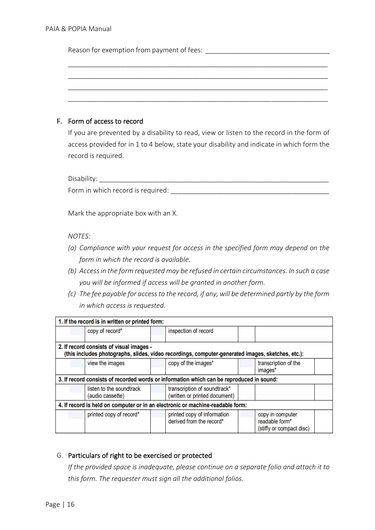Reason for exemption from payment of fees: \_\_\_\_\_\_\_\_\_\_\_\_\_\_\_\_\_\_\_\_\_\_\_\_\_\_\_\_\_\_\_\_\_

## F. Form of access to record

If you are prevented by a disability to read, view or listen to the record in the form of access provided for in 1 to 4 below, state your disability and indicate in which form the record is required.

\_\_\_\_\_\_\_\_\_\_\_\_\_\_\_\_\_\_\_\_\_\_\_\_\_\_\_\_\_\_\_\_\_\_\_\_\_\_\_\_\_\_\_\_\_\_\_\_\_\_\_\_\_\_\_\_\_\_\_\_\_\_\_\_\_\_\_\_\_ \_\_\_\_\_\_\_\_\_\_\_\_\_\_\_\_\_\_\_\_\_\_\_\_\_\_\_\_\_\_\_\_\_\_\_\_\_\_\_\_\_\_\_\_\_\_\_\_\_\_\_\_\_\_\_\_\_\_\_\_\_\_\_\_\_\_\_\_\_ \_\_\_\_\_\_\_\_\_\_\_\_\_\_\_\_\_\_\_\_\_\_\_\_\_\_\_\_\_\_\_\_\_\_\_\_\_\_\_\_\_\_\_\_\_\_\_\_\_\_\_\_\_\_\_\_\_\_\_\_\_\_\_\_\_\_\_\_\_ \_\_\_\_\_\_\_\_\_\_\_\_\_\_\_\_\_\_\_\_\_\_\_\_\_\_\_\_\_\_\_\_\_\_\_\_\_\_\_\_\_\_\_\_\_\_\_\_\_\_\_\_\_\_\_\_\_\_\_\_\_\_\_\_\_\_\_\_\_

Disability: \_\_\_\_\_\_\_\_\_\_\_\_\_\_\_\_\_\_\_\_\_\_\_\_\_\_\_\_\_\_\_\_\_\_\_\_\_\_\_\_\_\_\_\_\_\_\_\_\_\_\_\_\_\_\_\_\_\_\_\_\_

Form in which record is required: \_\_\_\_\_\_\_\_\_\_\_\_\_\_\_\_\_\_\_\_\_\_\_\_\_\_\_\_\_\_\_\_\_\_\_\_\_\_\_\_\_\_

Mark the appropriate box with an X.

#### *NOTES:*

- *(a) Compliance with your request for access in the specified form may depend on the form in which the record is available.*
- *(b) Access in the form requested may be refused in certain circumstances. In such a case you will be informed if access will be granted in another form.*
- *(c) The fee payable for access to the record, if any, will be determined partly by the form in which access is requested.*

| 1. If the record is in written or printed form:                                                                                               |                                              |  |                                                                                          |  |                                                                |  |
|-----------------------------------------------------------------------------------------------------------------------------------------------|----------------------------------------------|--|------------------------------------------------------------------------------------------|--|----------------------------------------------------------------|--|
|                                                                                                                                               | copy of record*                              |  | inspection of record                                                                     |  |                                                                |  |
| 2. If record consists of visual images -<br>(this includes photographs, slides, video recordings, computer-generated images, sketches, etc.): |                                              |  |                                                                                          |  |                                                                |  |
|                                                                                                                                               | view the images                              |  | copy of the images*                                                                      |  | transcription of the<br>images*                                |  |
|                                                                                                                                               |                                              |  | 3. If record consists of recorded words or information which can be reproduced in sound: |  |                                                                |  |
|                                                                                                                                               | listen to the soundtrack<br>(audio cassette) |  | transcription of soundtrack*<br>(written or printed document)                            |  |                                                                |  |
| 4. If record is held on computer or in an electronic or machine-readable form:                                                                |                                              |  |                                                                                          |  |                                                                |  |
|                                                                                                                                               | printed copy of record*                      |  | printed copy of information<br>derived from the record*                                  |  | copy in computer<br>readable form*<br>(stiffy or compact disc) |  |

## G. Particulars of right to be exercised or protected

*If the provided space is inadequate, please continue on a separate folio and attach it to this form. The requester must sign all the additional folios.*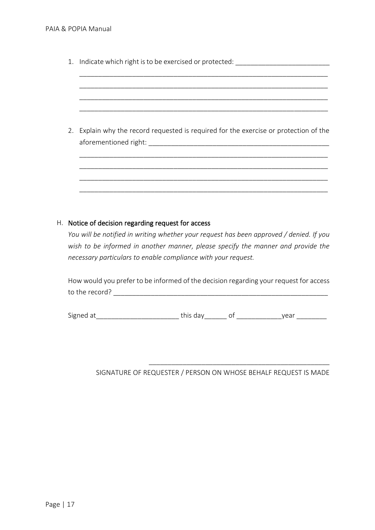| 1. Indicate which right is to be exercised or protected:                              |  |  |  |
|---------------------------------------------------------------------------------------|--|--|--|
|                                                                                       |  |  |  |
| 2. Explain why the record requested is required for the exercise or protection of the |  |  |  |
|                                                                                       |  |  |  |
|                                                                                       |  |  |  |

#### H. Notice of decision regarding request for access

*You will be notified in writing whether your request has been approved / denied. If you wish to be informed in another manner, please specify the manner and provide the necessary particulars to enable compliance with your request.*

How would you prefer to be informed of the decision regarding your request for access to the record? \_\_\_\_\_\_\_\_\_\_\_\_\_\_\_\_\_\_\_\_\_\_\_\_\_\_\_\_\_\_\_\_\_\_\_\_\_\_\_\_\_\_\_\_\_\_\_\_\_\_\_\_\_\_\_\_\_

Signed at\_\_\_\_\_\_\_\_\_\_\_\_\_\_\_\_\_\_\_\_\_\_\_\_\_\_\_\_\_\_\_\_this day\_\_\_\_\_\_\_\_\_ of \_\_\_\_\_\_\_\_\_\_\_\_\_\_\_\_\_\_year \_\_\_\_\_\_\_\_\_\_\_\_\_\_

## SIGNATURE OF REQUESTER / PERSON ON WHOSE BEHALF REQUEST IS MADE

\_\_\_\_\_\_\_\_\_\_\_\_\_\_\_\_\_\_\_\_\_\_\_\_\_\_\_\_\_\_\_\_\_\_\_\_\_\_\_\_\_\_\_\_\_\_\_\_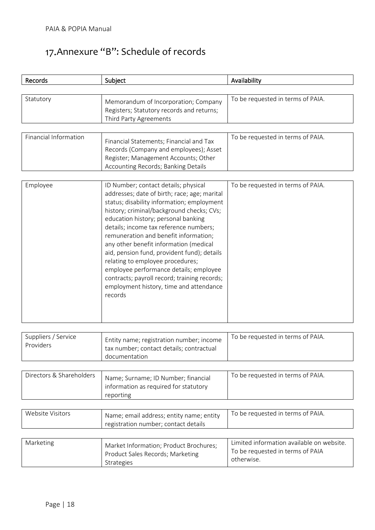# <span id="page-18-0"></span>17. Annexure "B": Schedule of records

reporting

| <b>Records</b>                   | Subject                                                                                                                                                                                                                                                                                                                                                                                                                                                                                                                                                                                | Availability                      |
|----------------------------------|----------------------------------------------------------------------------------------------------------------------------------------------------------------------------------------------------------------------------------------------------------------------------------------------------------------------------------------------------------------------------------------------------------------------------------------------------------------------------------------------------------------------------------------------------------------------------------------|-----------------------------------|
| Statutory                        | Memorandum of Incorporation; Company<br>Registers; Statutory records and returns;                                                                                                                                                                                                                                                                                                                                                                                                                                                                                                      | To be requested in terms of PAIA. |
|                                  | Third Party Agreements                                                                                                                                                                                                                                                                                                                                                                                                                                                                                                                                                                 |                                   |
| Financial Information            | Financial Statements; Financial and Tax<br>Records (Company and employees); Asset<br>Register; Management Accounts; Other<br>Accounting Records; Banking Details                                                                                                                                                                                                                                                                                                                                                                                                                       | To be requested in terms of PAIA. |
| Employee                         | ID Number; contact details; physical<br>addresses; date of birth; race; age; marital<br>status; disability information; employment<br>history; criminal/background checks; CVs;<br>education history; personal banking<br>details; income tax reference numbers;<br>remuneration and benefit information;<br>any other benefit information (medical<br>aid, pension fund, provident fund); details<br>relating to employee procedures;<br>employee performance details; employee<br>contracts; payroll record; training records;<br>employment history, time and attendance<br>records | To be requested in terms of PAIA. |
|                                  |                                                                                                                                                                                                                                                                                                                                                                                                                                                                                                                                                                                        |                                   |
| Suppliers / Service<br>Providers | Entity name; registration number; income<br>tax number; contact details; contractual<br>documentation                                                                                                                                                                                                                                                                                                                                                                                                                                                                                  | To be requested in terms of PAIA. |
|                                  |                                                                                                                                                                                                                                                                                                                                                                                                                                                                                                                                                                                        |                                   |
| Directors & Shareholders         | Name; Surname; ID Number; financial<br>information as required for statutory                                                                                                                                                                                                                                                                                                                                                                                                                                                                                                           | To be requested in terms of PAIA. |

| Website Visitors | Name; email address; entity name; entity<br>registration number; contact details                | To be requested in terms of PAIA.                                                           |
|------------------|-------------------------------------------------------------------------------------------------|---------------------------------------------------------------------------------------------|
| Marketing        | Market Information; Product Brochures;<br>Product Sales Records; Marketing<br><b>Strategies</b> | Limited information available on website.<br>To be requested in terms of PAIA<br>otherwise. |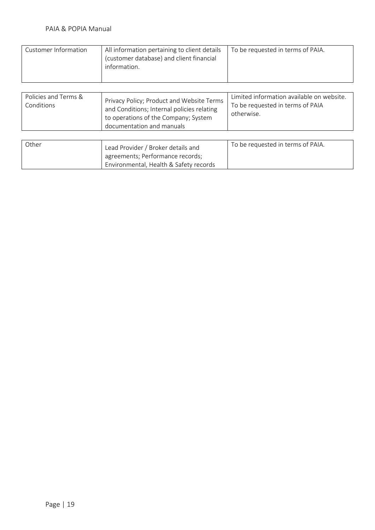| Customer Information               | All information pertaining to client details<br>(customer database) and client financial<br>information.                                                     | To be requested in terms of PAIA.                                                           |
|------------------------------------|--------------------------------------------------------------------------------------------------------------------------------------------------------------|---------------------------------------------------------------------------------------------|
| Policies and Terms &<br>Conditions | Privacy Policy; Product and Website Terms<br>and Conditions; Internal policies relating<br>to operations of the Company; System<br>documentation and manuals | Limited information available on website.<br>To be requested in terms of PAIA<br>otherwise. |
| Other                              | Lead Provider / Broker details and<br>agreements; Performance records;                                                                                       | To be requested in terms of PAIA.                                                           |

Environmental, Health & Safety records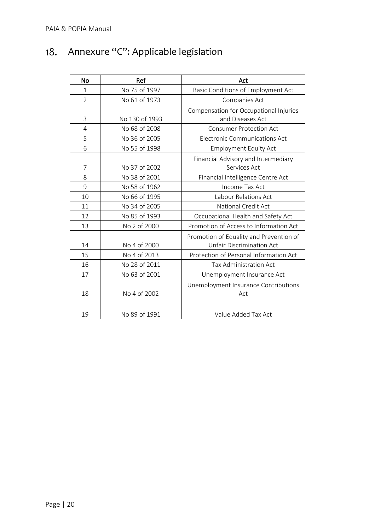<span id="page-20-0"></span>

|  | 18. Annexure "C": Applicable legislation |  |
|--|------------------------------------------|--|
|--|------------------------------------------|--|

| <b>No</b>      | Ref            | Act                                                                         |
|----------------|----------------|-----------------------------------------------------------------------------|
| $\mathbf{1}$   | No 75 of 1997  | Basic Conditions of Employment Act                                          |
| $\overline{2}$ | No 61 of 1973  | Companies Act                                                               |
| 3              | No 130 of 1993 | Compensation for Occupational Injuries<br>and Diseases Act                  |
| 4              | No 68 of 2008  | <b>Consumer Protection Act</b>                                              |
| 5              | No 36 of 2005  | <b>Electronic Communications Act</b>                                        |
| 6              | No 55 of 1998  | <b>Employment Equity Act</b>                                                |
| 7              | No 37 of 2002  | Financial Advisory and Intermediary<br>Services Act                         |
| 8              | No 38 of 2001  | Financial Intelligence Centre Act                                           |
| 9              | No 58 of 1962  | Income Tax Act                                                              |
| 10             | No 66 of 1995  | Labour Relations Act                                                        |
| 11             | No 34 of 2005  | National Credit Act                                                         |
| 12             | No 85 of 1993  | Occupational Health and Safety Act                                          |
| 13             | No 2 of 2000   | Promotion of Access to Information Act                                      |
| 14             | No 4 of 2000   | Promotion of Equality and Prevention of<br><b>Unfair Discrimination Act</b> |
| 15             | No 4 of 2013   | Protection of Personal Information Act                                      |
| 16             | No 28 of 2011  | Tax Administration Act                                                      |
| 17             | No 63 of 2001  | Unemployment Insurance Act                                                  |
| 18             | No 4 of 2002   | Unemployment Insurance Contributions<br>Act                                 |
| 19             | No 89 of 1991  | Value Added Tax Act                                                         |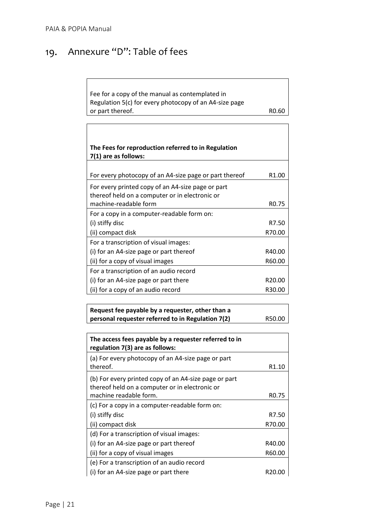#### <span id="page-21-0"></span>Annexure "D": Table of fees 19.

Fee for a copy of the manual as contemplated in Regulation 5(c) for every photocopy of an A4-size page or part thereof. The contract of the contract of the RO.60

| The Fees for reproduction referred to in Regulation<br>7(1) are as follows:                         |                    |  |  |  |
|-----------------------------------------------------------------------------------------------------|--------------------|--|--|--|
| For every photocopy of an A4-size page or part thereof                                              | R <sub>1.00</sub>  |  |  |  |
| For every printed copy of an A4-size page or part<br>thereof held on a computer or in electronic or |                    |  |  |  |
| machine-readable form                                                                               | R <sub>0.75</sub>  |  |  |  |
| For a copy in a computer-readable form on:                                                          |                    |  |  |  |
| (i) stiffy disc                                                                                     | R7.50              |  |  |  |
| (ii) compact disk                                                                                   | R70.00             |  |  |  |
| For a transcription of visual images:                                                               |                    |  |  |  |
| (i) for an A4-size page or part thereof                                                             | R40.00             |  |  |  |
| (ii) for a copy of visual images                                                                    | R60.00             |  |  |  |
| For a transcription of an audio record                                                              |                    |  |  |  |
| (i) for an A4-size page or part there                                                               | R <sub>20.00</sub> |  |  |  |
| (ii) for a copy of an audio record                                                                  | R30.00             |  |  |  |

**Request fee payable by a requester, other than a personal requester referred to in Regulation 7(2)** R50.00

| The access fees payable by a requester referred to in<br>regulation 7(3) are as follows:                |                    |
|---------------------------------------------------------------------------------------------------------|--------------------|
| (a) For every photocopy of an A4-size page or part<br>thereof.                                          | R <sub>1.10</sub>  |
| (b) For every printed copy of an A4-size page or part<br>thereof held on a computer or in electronic or |                    |
| machine readable form.<br>(c) For a copy in a computer-readable form on:                                | R <sub>0</sub> .75 |
| (i) stiffy disc                                                                                         | R7.50              |
| (ii) compact disk                                                                                       | R70.00             |
| (d) For a transcription of visual images:                                                               |                    |
| (i) for an A4-size page or part thereof                                                                 | R40.00             |
| (ii) for a copy of visual images                                                                        | R60.00             |
| (e) For a transcription of an audio record                                                              |                    |
| (i) for an A4-size page or part there                                                                   | R20.00             |